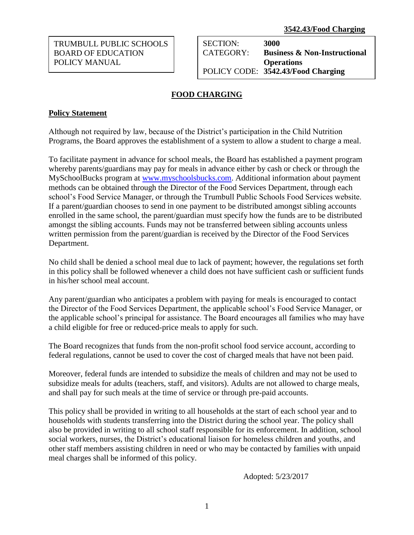TRUMBULL PUBLIC SCHOOLS BOARD OF EDUCATION POLICY MANUAL

SECTION: **3000** CATEGORY: **Business & Non-Instructional Operations** POLICY CODE: **3542.43/Food Charging**

## **FOOD CHARGING**

## **Policy Statement**

Although not required by law, because of the District's participation in the Child Nutrition Programs, the Board approves the establishment of a system to allow a student to charge a meal.

To facilitate payment in advance for school meals, the Board has established a payment program whereby parents/guardians may pay for meals in advance either by cash or check or through the MySchoolBucks program at [www.myschoolsbucks.com.](http://www.myschoolsbucks.com/) Additional information about payment methods can be obtained through the Director of the Food Services Department, through each school's Food Service Manager, or through the Trumbull Public Schools Food Services website. If a parent/guardian chooses to send in one payment to be distributed amongst sibling accounts enrolled in the same school, the parent/guardian must specify how the funds are to be distributed amongst the sibling accounts. Funds may not be transferred between sibling accounts unless written permission from the parent/guardian is received by the Director of the Food Services Department.

No child shall be denied a school meal due to lack of payment; however, the regulations set forth in this policy shall be followed whenever a child does not have sufficient cash or sufficient funds in his/her school meal account.

Any parent/guardian who anticipates a problem with paying for meals is encouraged to contact the Director of the Food Services Department, the applicable school's Food Service Manager, or the applicable school's principal for assistance. The Board encourages all families who may have a child eligible for free or reduced-price meals to apply for such.

The Board recognizes that funds from the non-profit school food service account, according to federal regulations, cannot be used to cover the cost of charged meals that have not been paid.

Moreover, federal funds are intended to subsidize the meals of children and may not be used to subsidize meals for adults (teachers, staff, and visitors). Adults are not allowed to charge meals, and shall pay for such meals at the time of service or through pre-paid accounts.

This policy shall be provided in writing to all households at the start of each school year and to households with students transferring into the District during the school year. The policy shall also be provided in writing to all school staff responsible for its enforcement. In addition, school social workers, nurses, the District's educational liaison for homeless children and youths, and other staff members assisting children in need or who may be contacted by families with unpaid meal charges shall be informed of this policy.

Adopted: 5/23/2017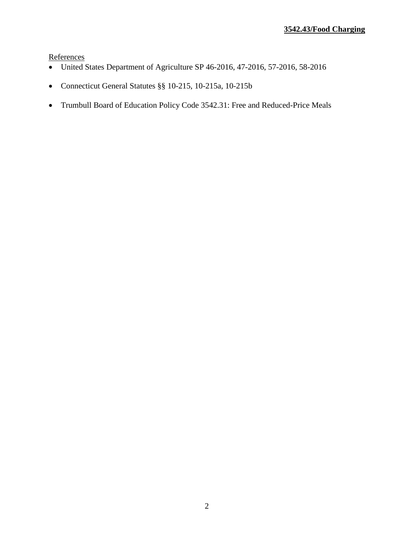**References** 

- United States Department of Agriculture SP 46-2016, 47-2016, 57-2016, 58-2016
- Connecticut General Statutes §§ 10-215, 10-215a, 10-215b
- Trumbull Board of Education Policy Code 3542.31: Free and Reduced-Price Meals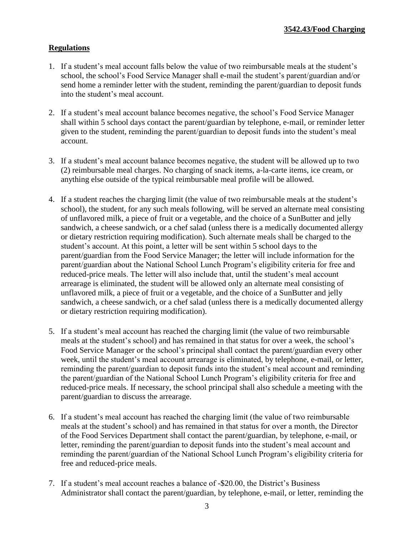## **Regulations**

- 1. If a student's meal account falls below the value of two reimbursable meals at the student's school, the school's Food Service Manager shall e-mail the student's parent/guardian and/or send home a reminder letter with the student, reminding the parent/guardian to deposit funds into the student's meal account.
- 2. If a student's meal account balance becomes negative, the school's Food Service Manager shall within 5 school days contact the parent/guardian by telephone, e-mail, or reminder letter given to the student, reminding the parent/guardian to deposit funds into the student's meal account.
- 3. If a student's meal account balance becomes negative, the student will be allowed up to two (2) reimbursable meal charges. No charging of snack items, a-la-carte items, ice cream, or anything else outside of the typical reimbursable meal profile will be allowed.
- 4. If a student reaches the charging limit (the value of two reimbursable meals at the student's school), the student, for any such meals following, will be served an alternate meal consisting of unflavored milk, a piece of fruit or a vegetable, and the choice of a SunButter and jelly sandwich, a cheese sandwich, or a chef salad (unless there is a medically documented allergy or dietary restriction requiring modification). Such alternate meals shall be charged to the student's account. At this point, a letter will be sent within 5 school days to the parent/guardian from the Food Service Manager; the letter will include information for the parent/guardian about the National School Lunch Program's eligibility criteria for free and reduced-price meals. The letter will also include that, until the student's meal account arrearage is eliminated, the student will be allowed only an alternate meal consisting of unflavored milk, a piece of fruit or a vegetable, and the choice of a SunButter and jelly sandwich, a cheese sandwich, or a chef salad (unless there is a medically documented allergy or dietary restriction requiring modification).
- 5. If a student's meal account has reached the charging limit (the value of two reimbursable meals at the student's school) and has remained in that status for over a week, the school's Food Service Manager or the school's principal shall contact the parent/guardian every other week, until the student's meal account arrearage is eliminated, by telephone, e-mail, or letter, reminding the parent/guardian to deposit funds into the student's meal account and reminding the parent/guardian of the National School Lunch Program's eligibility criteria for free and reduced-price meals. If necessary, the school principal shall also schedule a meeting with the parent/guardian to discuss the arrearage.
- 6. If a student's meal account has reached the charging limit (the value of two reimbursable meals at the student's school) and has remained in that status for over a month, the Director of the Food Services Department shall contact the parent/guardian, by telephone, e-mail, or letter, reminding the parent/guardian to deposit funds into the student's meal account and reminding the parent/guardian of the National School Lunch Program's eligibility criteria for free and reduced-price meals.
- 7. If a student's meal account reaches a balance of -\$20.00, the District's Business Administrator shall contact the parent/guardian, by telephone, e-mail, or letter, reminding the